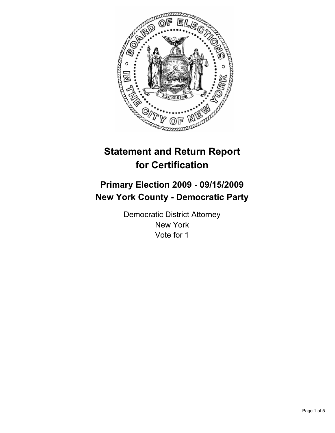

# **Statement and Return Report for Certification**

# **Primary Election 2009 - 09/15/2009 New York County - Democratic Party**

Democratic District Attorney New York Vote for 1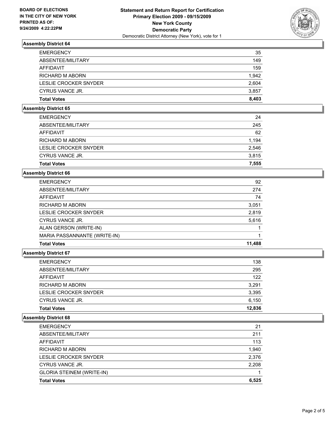

# **Assembly District 64**

| <b>EMERGENCY</b>       | 35    |
|------------------------|-------|
| ABSENTEE/MILITARY      | 149   |
| AFFIDAVIT              | 159   |
| <b>RICHARD M ABORN</b> | 1.942 |
| LESLIE CROCKER SNYDER  | 2.604 |
| CYRUS VANCE JR.        | 3,857 |
| <b>Total Votes</b>     | 8.403 |

#### **Assembly District 65**

| <b>EMERGENCY</b>       | 24    |
|------------------------|-------|
| ABSENTEE/MILITARY      | 245   |
| AFFIDAVIT              | 62    |
| <b>RICHARD M ABORN</b> | 1.194 |
| LESLIE CROCKER SNYDER  | 2,546 |
| CYRUS VANCE JR.        | 3.815 |
| <b>Total Votes</b>     | 7.555 |

#### **Assembly District 66**

| <b>EMERGENCY</b>             | 92     |
|------------------------------|--------|
| ABSENTEE/MILITARY            | 274    |
| <b>AFFIDAVIT</b>             | 74     |
| <b>RICHARD M ABORN</b>       | 3,051  |
| LESLIE CROCKER SNYDER        | 2,819  |
| CYRUS VANCE JR.              | 5,616  |
| ALAN GERSON (WRITE-IN)       |        |
| MARIA PASSANNANTE (WRITE-IN) |        |
| <b>Total Votes</b>           | 11,488 |

### **Assembly District 67**

| <b>EMERGENCY</b>       | 138    |
|------------------------|--------|
| ABSENTEE/MILITARY      | 295    |
| AFFIDAVIT              | 122    |
| <b>RICHARD M ABORN</b> | 3,291  |
| LESLIE CROCKER SNYDER  | 3.395  |
| CYRUS VANCE JR.        | 6,150  |
| <b>Total Votes</b>     | 12.836 |

#### **Assembly District 68**

| <b>EMERGENCY</b>                 | 21    |
|----------------------------------|-------|
| ABSENTEE/MILITARY                | 211   |
| AFFIDAVIT                        | 113   |
| <b>RICHARD M ABORN</b>           | 1,940 |
| LESLIE CROCKER SNYDER            | 2,376 |
| CYRUS VANCE JR.                  | 2.208 |
| <b>GLORIA STEINEM (WRITE-IN)</b> |       |
| <b>Total Votes</b>               | 6.525 |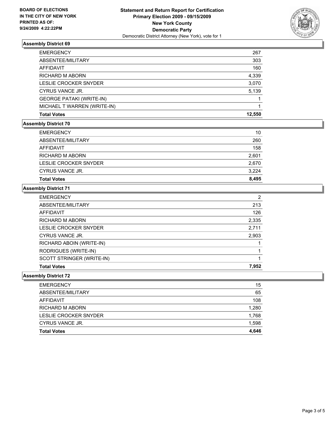

## **Assembly District 69**

| <b>EMERGENCY</b>                | 267    |
|---------------------------------|--------|
| ABSENTEE/MILITARY               | 303    |
| AFFIDAVIT                       | 160    |
| <b>RICHARD M ABORN</b>          | 4,339  |
| <b>LESLIE CROCKER SNYDER</b>    | 3,070  |
| CYRUS VANCE JR.                 | 5,139  |
| <b>GEORGE PATAKI (WRITE-IN)</b> |        |
| MICHAEL T WARREN (WRITE-IN)     |        |
| <b>Total Votes</b>              | 12.550 |

# **Assembly District 70**

| <b>Total Votes</b>     | 8.495 |
|------------------------|-------|
| CYRUS VANCE JR.        | 3.224 |
| LESLIE CROCKER SNYDER  | 2.670 |
| <b>RICHARD M ABORN</b> | 2,601 |
| AFFIDAVIT              | 158   |
| ABSENTEE/MILITARY      | 260   |
| <b>EMERGENCY</b>       | 10    |

# **Assembly District 71**

| <b>EMERGENCY</b>          | 2     |
|---------------------------|-------|
| ABSENTEE/MILITARY         | 213   |
| <b>AFFIDAVIT</b>          | 126   |
| RICHARD M ABORN           | 2,335 |
| LESLIE CROCKER SNYDER     | 2,711 |
| CYRUS VANCE JR.           | 2,903 |
| RICHARD ABOIN (WRITE-IN)  |       |
| RODRIGUES (WRITE-IN)      |       |
| SCOTT STRINGER (WRITE-IN) |       |
| <b>Total Votes</b>        | 7.952 |

#### **Assembly District 72**

| <b>EMERGENCY</b>      | 15    |
|-----------------------|-------|
| ABSENTEE/MILITARY     | 65    |
| AFFIDAVIT             | 108   |
| RICHARD M ABORN       | 1,280 |
| LESLIE CROCKER SNYDER | 1,768 |
| CYRUS VANCE JR.       | 1,598 |
| <b>Total Votes</b>    | 4.646 |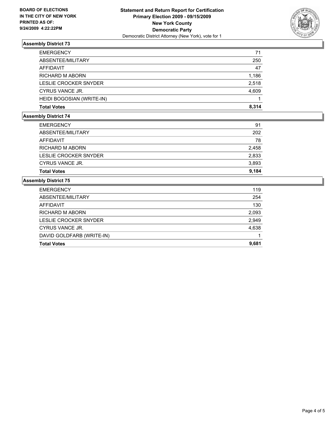

# **Assembly District 73**

| <b>EMERGENCY</b>          | 71    |
|---------------------------|-------|
| ABSENTEE/MILITARY         | 250   |
| <b>AFFIDAVIT</b>          | 47    |
| <b>RICHARD M ABORN</b>    | 1,186 |
| LESLIE CROCKER SNYDER     | 2,518 |
| CYRUS VANCE JR.           | 4,609 |
| HEIDI BOGOSIAN (WRITE-IN) |       |
| <b>Total Votes</b>        | 8.314 |

# **Assembly District 74**

| <b>Total Votes</b>     | 9.184 |
|------------------------|-------|
| CYRUS VANCE JR.        | 3,893 |
| LESLIE CROCKER SNYDER  | 2,833 |
| <b>RICHARD M ABORN</b> | 2,458 |
| AFFIDAVIT              | 78    |
| ABSENTEE/MILITARY      | 202   |
| <b>EMERGENCY</b>       | 91    |

#### **Assembly District 75**

| <b>EMERGENCY</b>          | 119   |
|---------------------------|-------|
| ABSENTEE/MILITARY         | 254   |
| <b>AFFIDAVIT</b>          | 130   |
| <b>RICHARD M ABORN</b>    | 2,093 |
| LESLIE CROCKER SNYDER     | 2,949 |
| CYRUS VANCE JR.           | 4,638 |
| DAVID GOLDFARB (WRITE-IN) |       |
| <b>Total Votes</b>        | 9,681 |